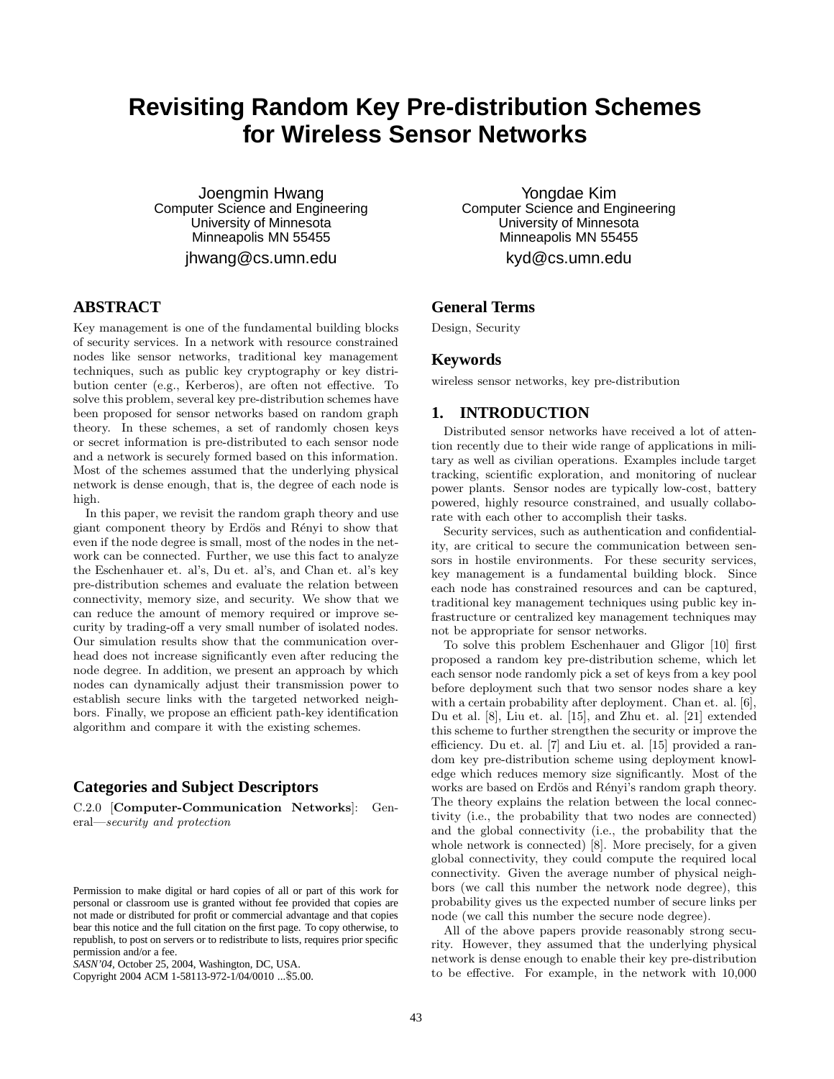# **Revisiting Random Key Pre-distribution Schemes for Wireless Sensor Networks**

Joengmin Hwang Computer Science and Engineering University of Minnesota Minneapolis MN 55455 jhwang@cs.umn.edu

**ABSTRACT**

Key management is one of the fundamental building blocks of security services. In a network with resource constrained nodes like sensor networks, traditional key management techniques, such as public key cryptography or key distribution center (e.g., Kerberos), are often not effective. To solve this problem, several key pre-distribution schemes have been proposed for sensor networks based on random graph theory. In these schemes, a set of randomly chosen keys or secret information is pre-distributed to each sensor node and a network is securely formed based on this information. Most of the schemes assumed that the underlying physical network is dense enough, that is, the degree of each node is high.

In this paper, we revisit the random graph theory and use giant component theory by Erdös and Rényi to show that even if the node degree is small, most of the nodes in the network can be connected. Further, we use this fact to analyze the Eschenhauer et. al's, Du et. al's, and Chan et. al's key pre-distribution schemes and evaluate the relation between connectivity, memory size, and security. We show that we can reduce the amount of memory required or improve security by trading-off a very small number of isolated nodes. Our simulation results show that the communication overhead does not increase significantly even after reducing the node degree. In addition, we present an approach by which nodes can dynamically adjust their transmission power to establish secure links with the targeted networked neighbors. Finally, we propose an efficient path-key identification algorithm and compare it with the existing schemes.

# **Categories and Subject Descriptors**

C.2.0 [Computer-Communication Networks]: General—security and protection

Copyright 2004 ACM 1-58113-972-1/04/0010 ...\$5.00.

Yongdae Kim Computer Science and Engineering University of Minnesota Minneapolis MN 55455

kyd@cs.umn.edu

# **General Terms**

Design, Security

## **Keywords**

wireless sensor networks, key pre-distribution

# **1. INTRODUCTION**

Distributed sensor networks have received a lot of attention recently due to their wide range of applications in military as well as civilian operations. Examples include target tracking, scientific exploration, and monitoring of nuclear power plants. Sensor nodes are typically low-cost, battery powered, highly resource constrained, and usually collaborate with each other to accomplish their tasks.

Security services, such as authentication and confidentiality, are critical to secure the communication between sensors in hostile environments. For these security services, key management is a fundamental building block. Since each node has constrained resources and can be captured, traditional key management techniques using public key infrastructure or centralized key management techniques may not be appropriate for sensor networks.

To solve this problem Eschenhauer and Gligor [10] first proposed a random key pre-distribution scheme, which let each sensor node randomly pick a set of keys from a key pool before deployment such that two sensor nodes share a key with a certain probability after deployment. Chan et. al. [6], Du et al. [8], Liu et. al. [15], and Zhu et. al. [21] extended this scheme to further strengthen the security or improve the efficiency. Du et. al. [7] and Liu et. al. [15] provided a random key pre-distribution scheme using deployment knowledge which reduces memory size significantly. Most of the works are based on Erdös and Rényi's random graph theory. The theory explains the relation between the local connectivity (i.e., the probability that two nodes are connected) and the global connectivity (i.e., the probability that the whole network is connected) [8]. More precisely, for a given global connectivity, they could compute the required local connectivity. Given the average number of physical neighbors (we call this number the network node degree), this probability gives us the expected number of secure links per node (we call this number the secure node degree).

All of the above papers provide reasonably strong security. However, they assumed that the underlying physical network is dense enough to enable their key pre-distribution to be effective. For example, in the network with 10,000

Permission to make digital or hard copies of all or part of this work for personal or classroom use is granted without fee provided that copies are not made or distributed for profit or commercial advantage and that copies bear this notice and the full citation on the first page. To copy otherwise, to republish, to post on servers or to redistribute to lists, requires prior specific permission and/or a fee.

*SASN'04,* October 25, 2004, Washington, DC, USA.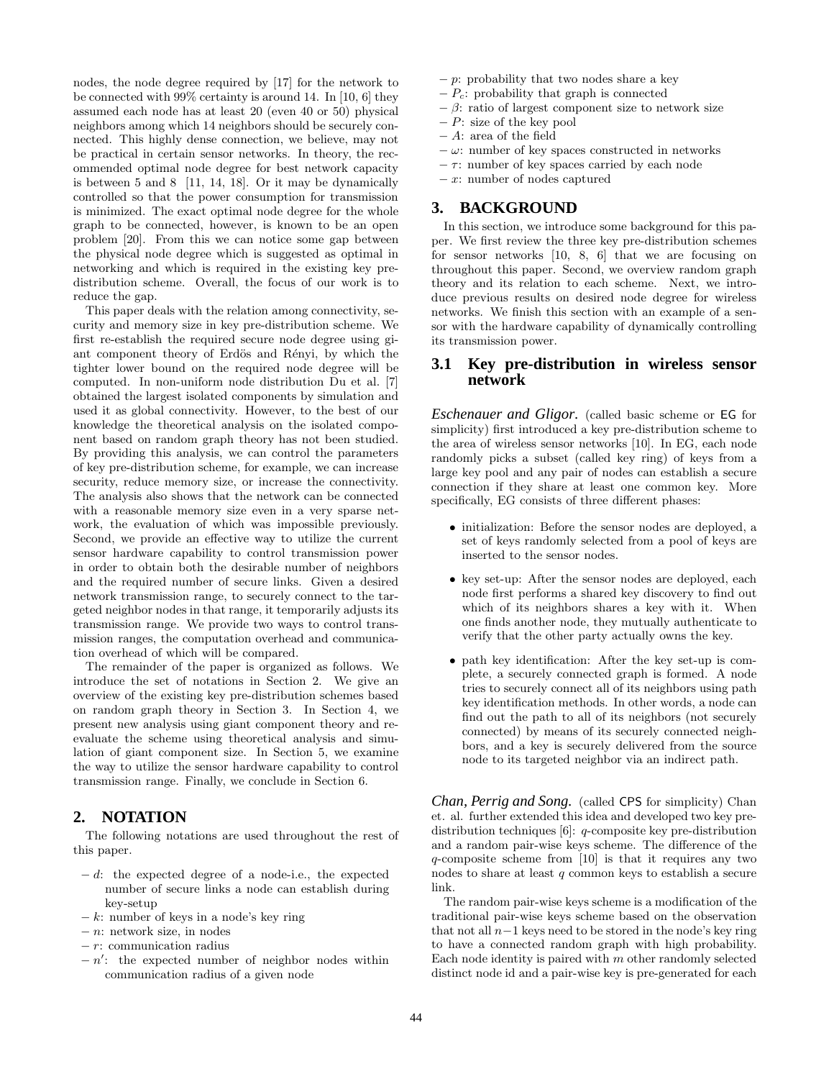nodes, the node degree required by [17] for the network to be connected with 99% certainty is around 14. In [10, 6] they assumed each node has at least 20 (even 40 or 50) physical neighbors among which 14 neighbors should be securely connected. This highly dense connection, we believe, may not be practical in certain sensor networks. In theory, the recommended optimal node degree for best network capacity is between 5 and 8 [11, 14, 18]. Or it may be dynamically controlled so that the power consumption for transmission is minimized. The exact optimal node degree for the whole graph to be connected, however, is known to be an open problem [20]. From this we can notice some gap between the physical node degree which is suggested as optimal in networking and which is required in the existing key predistribution scheme. Overall, the focus of our work is to reduce the gap.

This paper deals with the relation among connectivity, security and memory size in key pre-distribution scheme. We first re-establish the required secure node degree using giant component theory of Erdös and Rényi, by which the tighter lower bound on the required node degree will be computed. In non-uniform node distribution Du et al. [7] obtained the largest isolated components by simulation and used it as global connectivity. However, to the best of our knowledge the theoretical analysis on the isolated component based on random graph theory has not been studied. By providing this analysis, we can control the parameters of key pre-distribution scheme, for example, we can increase security, reduce memory size, or increase the connectivity. The analysis also shows that the network can be connected with a reasonable memory size even in a very sparse network, the evaluation of which was impossible previously. Second, we provide an effective way to utilize the current sensor hardware capability to control transmission power in order to obtain both the desirable number of neighbors and the required number of secure links. Given a desired network transmission range, to securely connect to the targeted neighbor nodes in that range, it temporarily adjusts its transmission range. We provide two ways to control transmission ranges, the computation overhead and communication overhead of which will be compared.

The remainder of the paper is organized as follows. We introduce the set of notations in Section 2. We give an overview of the existing key pre-distribution schemes based on random graph theory in Section 3. In Section 4, we present new analysis using giant component theory and reevaluate the scheme using theoretical analysis and simulation of giant component size. In Section 5, we examine the way to utilize the sensor hardware capability to control transmission range. Finally, we conclude in Section 6.

# **2. NOTATION**

The following notations are used throughout the rest of this paper.

- − d: the expected degree of a node-i.e., the expected number of secure links a node can establish during key-setup
- $-k$ : number of keys in a node's key ring
- $n$ : network size, in nodes
- − r: communication radius
- $-n'$ : the expected number of neighbor nodes within communication radius of a given node
- $-p$ : probability that two nodes share a key
- $-P_c$ : probability that graph is connected
- $-\beta$ : ratio of largest component size to network size
- $-P$ : size of the key pool
- − A: area of the field
- $-\omega$ : number of key spaces constructed in networks
- $-\tau$ : number of key spaces carried by each node
- − x: number of nodes captured

## **3. BACKGROUND**

In this section, we introduce some background for this paper. We first review the three key pre-distribution schemes for sensor networks [10, 8, 6] that we are focusing on throughout this paper. Second, we overview random graph theory and its relation to each scheme. Next, we introduce previous results on desired node degree for wireless networks. We finish this section with an example of a sensor with the hardware capability of dynamically controlling its transmission power.

## **3.1 Key pre-distribution in wireless sensor network**

*Eschenauer and Gligor.* (called basic scheme or EG for simplicity) first introduced a key pre-distribution scheme to the area of wireless sensor networks [10]. In EG, each node randomly picks a subset (called key ring) of keys from a large key pool and any pair of nodes can establish a secure connection if they share at least one common key. More specifically, EG consists of three different phases:

- initialization: Before the sensor nodes are deployed, a set of keys randomly selected from a pool of keys are inserted to the sensor nodes.
- key set-up: After the sensor nodes are deployed, each node first performs a shared key discovery to find out which of its neighbors shares a key with it. When one finds another node, they mutually authenticate to verify that the other party actually owns the key.
- path key identification: After the key set-up is complete, a securely connected graph is formed. A node tries to securely connect all of its neighbors using path key identification methods. In other words, a node can find out the path to all of its neighbors (not securely connected) by means of its securely connected neighbors, and a key is securely delivered from the source node to its targeted neighbor via an indirect path.

*Chan, Perrig and Song.* (called CPS for simplicity) Chan et. al. further extended this idea and developed two key predistribution techniques [6]: q-composite key pre-distribution and a random pair-wise keys scheme. The difference of the q-composite scheme from [10] is that it requires any two nodes to share at least q common keys to establish a secure link.

The random pair-wise keys scheme is a modification of the traditional pair-wise keys scheme based on the observation that not all  $n-1$  keys need to be stored in the node's key ring to have a connected random graph with high probability. Each node identity is paired with  $m$  other randomly selected distinct node id and a pair-wise key is pre-generated for each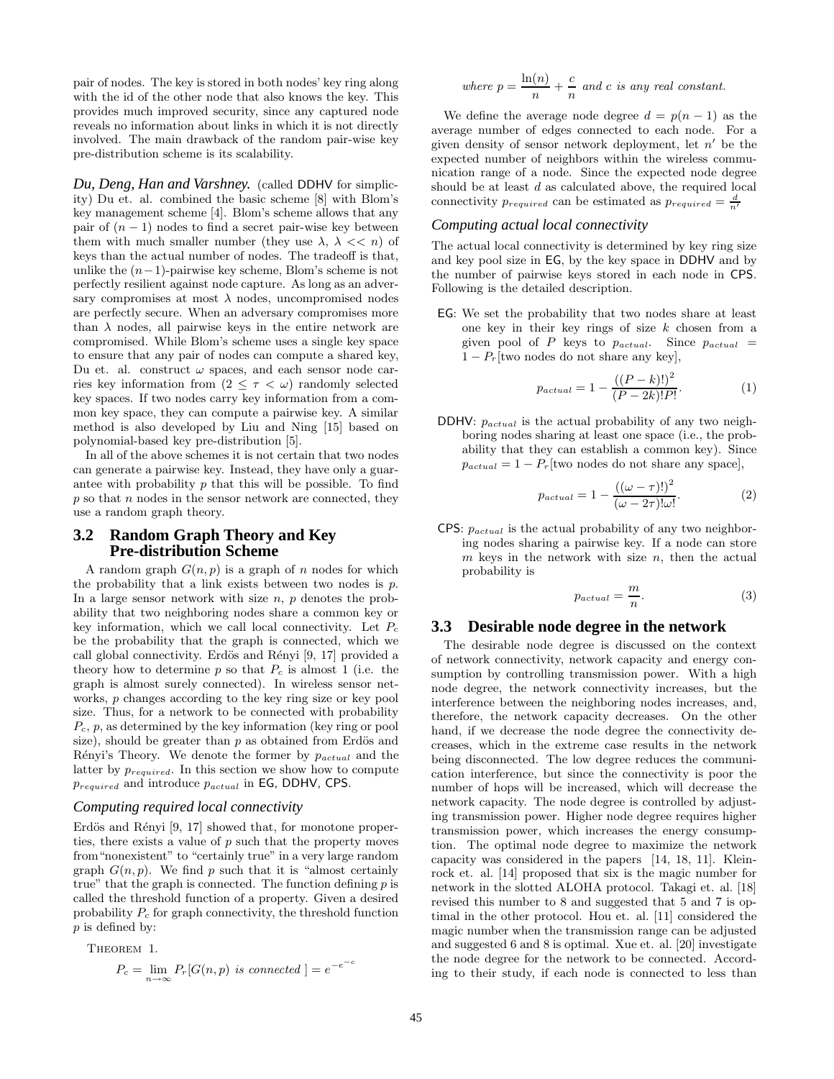pair of nodes. The key is stored in both nodes' key ring along with the id of the other node that also knows the key. This provides much improved security, since any captured node reveals no information about links in which it is not directly involved. The main drawback of the random pair-wise key pre-distribution scheme is its scalability.

*Du, Deng, Han and Varshney.* (called DDHV for simplicity) Du et. al. combined the basic scheme [8] with Blom's key management scheme [4]. Blom's scheme allows that any pair of  $(n - 1)$  nodes to find a secret pair-wise key between them with much smaller number (they use  $\lambda$ ,  $\lambda \ll n$ ) of keys than the actual number of nodes. The tradeoff is that, unlike the  $(n-1)$ -pairwise key scheme, Blom's scheme is not perfectly resilient against node capture. As long as an adversary compromises at most  $\lambda$  nodes, uncompromised nodes are perfectly secure. When an adversary compromises more than  $\lambda$  nodes, all pairwise keys in the entire network are compromised. While Blom's scheme uses a single key space to ensure that any pair of nodes can compute a shared key, Du et. al. construct  $\omega$  spaces, and each sensor node carries key information from  $(2 \leq \tau \leq \omega)$  randomly selected key spaces. If two nodes carry key information from a common key space, they can compute a pairwise key. A similar method is also developed by Liu and Ning [15] based on polynomial-based key pre-distribution [5].

In all of the above schemes it is not certain that two nodes can generate a pairwise key. Instead, they have only a guarantee with probability  $p$  that this will be possible. To find  $p$  so that  $n$  nodes in the sensor network are connected, they use a random graph theory.

#### **3.2 Random Graph Theory and Key Pre-distribution Scheme**

A random graph  $G(n, p)$  is a graph of n nodes for which the probability that a link exists between two nodes is  $p$ . In a large sensor network with size  $n$ ,  $p$  denotes the probability that two neighboring nodes share a common key or key information, which we call local connectivity. Let  $P_c$ be the probability that the graph is connected, which we call global connectivity. Erdös and Rényi [9, 17] provided a theory how to determine  $p$  so that  $P_c$  is almost 1 (i.e. the graph is almost surely connected). In wireless sensor networks, p changes according to the key ring size or key pool size. Thus, for a network to be connected with probability  $P_c$ , p, as determined by the key information (key ring or pool size), should be greater than  $p$  as obtained from Erdös and Rényi's Theory. We denote the former by  $p_{actual}$  and the latter by  $p_{required}$ . In this section we show how to compute  $p_{required}$  and introduce  $p_{actual}$  in EG, DDHV, CPS.

#### *Computing required local connectivity*

Erdös and Rényi  $[9, 17]$  showed that, for monotone properties, there exists a value of p such that the property moves from"nonexistent" to "certainly true" in a very large random graph  $G(n, p)$ . We find p such that it is "almost certainly" true" that the graph is connected. The function defining  $p$  is called the threshold function of a property. Given a desired probability  $P_c$  for graph connectivity, the threshold function p is defined by:

THEOREM 1.

$$
P_c = \lim_{n \to \infty} P_r[G(n, p) \text{ is connected } ] = e^{-e^{-c}}
$$

where 
$$
p = \frac{\ln(n)}{n} + \frac{c}{n}
$$
 and c is any real constant.

We define the average node degree  $d = p(n-1)$  as the average number of edges connected to each node. For a given density of sensor network deployment, let  $n'$  be the expected number of neighbors within the wireless communication range of a node. Since the expected node degree should be at least  $d$  as calculated above, the required local connectivity  $p_{required}$  can be estimated as  $p_{required} = \frac{d}{n'}$ 

#### *Computing actual local connectivity*

The actual local connectivity is determined by key ring size and key pool size in EG, by the key space in DDHV and by the number of pairwise keys stored in each node in CPS. Following is the detailed description.

EG: We set the probability that two nodes share at least one key in their key rings of size  $k$  chosen from a given pool of P keys to  $p_{actual}$ . Since  $p_{actual}$  =  $1 - P_r$ [two nodes do not share any key],

$$
p_{actual} = 1 - \frac{((P-k)!)^2}{(P-2k)!P!}.
$$
 (1)

DDHV:  $p_{actual}$  is the actual probability of any two neighboring nodes sharing at least one space (i.e., the probability that they can establish a common key). Since  $p_{actual} = 1 - P_r$ [two nodes do not share any space],

$$
p_{actual} = 1 - \frac{\left((\omega - \tau)!\right)^2}{(\omega - 2\tau)!\omega!}.
$$
 (2)

CPS:  $p_{actual}$  is the actual probability of any two neighboring nodes sharing a pairwise key. If a node can store  $m$  keys in the network with size  $n$ , then the actual probability is

$$
p_{actual} = \frac{m}{n}.\tag{3}
$$

#### **3.3 Desirable node degree in the network**

The desirable node degree is discussed on the context of network connectivity, network capacity and energy consumption by controlling transmission power. With a high node degree, the network connectivity increases, but the interference between the neighboring nodes increases, and, therefore, the network capacity decreases. On the other hand, if we decrease the node degree the connectivity decreases, which in the extreme case results in the network being disconnected. The low degree reduces the communication interference, but since the connectivity is poor the number of hops will be increased, which will decrease the network capacity. The node degree is controlled by adjusting transmission power. Higher node degree requires higher transmission power, which increases the energy consumption. The optimal node degree to maximize the network capacity was considered in the papers [14, 18, 11]. Kleinrock et. al. [14] proposed that six is the magic number for network in the slotted ALOHA protocol. Takagi et. al. [18] revised this number to 8 and suggested that 5 and 7 is optimal in the other protocol. Hou et. al. [11] considered the magic number when the transmission range can be adjusted and suggested 6 and 8 is optimal. Xue et. al. [20] investigate the node degree for the network to be connected. According to their study, if each node is connected to less than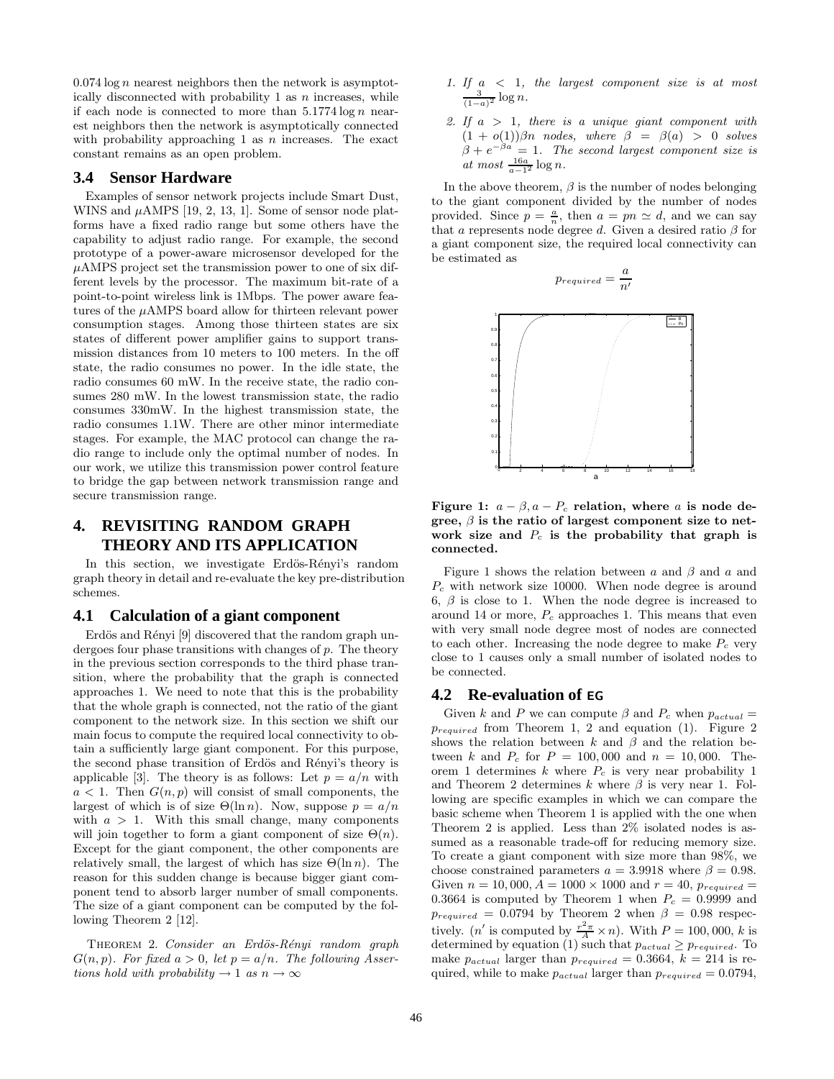$0.074 \log n$  nearest neighbors then the network is asymptotically disconnected with probability  $1$  as  $n$  increases, while if each node is connected to more than  $5.1774 \log n$  nearest neighbors then the network is asymptotically connected with probability approaching 1 as  $n$  increases. The exact constant remains as an open problem.

#### **3.4 Sensor Hardware**

Examples of sensor network projects include Smart Dust, WINS and  $\mu$ AMPS [19, 2, 13, 1]. Some of sensor node platforms have a fixed radio range but some others have the capability to adjust radio range. For example, the second prototype of a power-aware microsensor developed for the  $\mu$ AMPS project set the transmission power to one of six different levels by the processor. The maximum bit-rate of a point-to-point wireless link is 1Mbps. The power aware features of the  $\mu$ AMPS board allow for thirteen relevant power consumption stages. Among those thirteen states are six states of different power amplifier gains to support transmission distances from 10 meters to 100 meters. In the off state, the radio consumes no power. In the idle state, the radio consumes 60 mW. In the receive state, the radio consumes 280 mW. In the lowest transmission state, the radio consumes 330mW. In the highest transmission state, the radio consumes 1.1W. There are other minor intermediate stages. For example, the MAC protocol can change the radio range to include only the optimal number of nodes. In our work, we utilize this transmission power control feature to bridge the gap between network transmission range and secure transmission range.

# **4. REVISITING RANDOM GRAPH THEORY AND ITS APPLICATION**

In this section, we investigate Erdös-Rényi's random graph theory in detail and re-evaluate the key pre-distribution schemes.

## **4.1 Calculation of a giant component**

Erdös and Rényi [9] discovered that the random graph undergoes four phase transitions with changes of  $p$ . The theory in the previous section corresponds to the third phase transition, where the probability that the graph is connected approaches 1. We need to note that this is the probability that the whole graph is connected, not the ratio of the giant component to the network size. In this section we shift our main focus to compute the required local connectivity to obtain a sufficiently large giant component. For this purpose, the second phase transition of Erdös and Rényi's theory is applicable [3]. The theory is as follows: Let  $p = a/n$  with  $a < 1$ . Then  $G(n, p)$  will consist of small components, the largest of which is of size  $\Theta(\ln n)$ . Now, suppose  $p = a/n$ with  $a > 1$ . With this small change, many components will join together to form a giant component of size  $\Theta(n)$ . Except for the giant component, the other components are relatively small, the largest of which has size  $\Theta(\ln n)$ . The reason for this sudden change is because bigger giant component tend to absorb larger number of small components. The size of a giant component can be computed by the following Theorem 2 [12].

THEOREM 2. Consider an Erdös-Rényi random graph  $G(n, p)$ . For fixed  $a > 0$ , let  $p = a/n$ . The following Assertions hold with probability  $\rightarrow$  1 as  $n \rightarrow \infty$ 

- 1. If  $a < 1$ , the largest component size is at most  $\frac{3}{(1-a)^2} \log n$ .
- 2. If  $a > 1$ , there is a unique giant component with  $(1 + o(1))\beta n$  nodes, where  $\beta = \beta(a) > 0$  solves  $\beta + e^{-\beta a} = 1$ . The second largest component size is at most  $\frac{16a}{a-1^2} \log n$ .

In the above theorem,  $\beta$  is the number of nodes belonging to the giant component divided by the number of nodes provided. Since  $p = \frac{a}{n}$ , then  $a = pn \simeq d$ , and we can say that a represents node degree d. Given a desired ratio  $\beta$  for a giant component size, the required local connectivity can be estimated as



Figure 1:  $a - \beta$ ,  $a - P_c$  relation, where a is node degree,  $\beta$  is the ratio of largest component size to network size and  $P_c$  is the probability that graph is connected.

Figure 1 shows the relation between a and  $\beta$  and a and  $P_c$  with network size 10000. When node degree is around 6,  $\beta$  is close to 1. When the node degree is increased to around 14 or more,  $P_c$  approaches 1. This means that even with very small node degree most of nodes are connected to each other. Increasing the node degree to make  $P_c$  very close to 1 causes only a small number of isolated nodes to be connected.

#### **4.2 Re-evaluation of** EG

Given k and P we can compute  $\beta$  and  $P_c$  when  $p_{actual}$  $p_{required}$  from Theorem 1, 2 and equation (1). Figure 2 shows the relation between k and  $\beta$  and the relation between k and  $P_c$  for  $P = 100,000$  and  $n = 10,000$ . Theorem 1 determines  $k$  where  $P_c$  is very near probability 1 and Theorem 2 determines k where  $\beta$  is very near 1. Following are specific examples in which we can compare the basic scheme when Theorem 1 is applied with the one when Theorem 2 is applied. Less than 2\% isolated nodes is assumed as a reasonable trade-off for reducing memory size. To create a giant component with size more than 98%, we choose constrained parameters  $a = 3.9918$  where  $\beta = 0.98$ . Given  $n = 10,000, A = 1000 \times 1000$  and  $r = 40, p_{required}$ 0.3664 is computed by Theorem 1 when  $P_c = 0.9999$  and  $p_{required} = 0.0794$  by Theorem 2 when  $\beta = 0.98$  respectively. (*n'* is computed by  $\frac{r^2 \pi}{A} \times n$ ). With  $P = 100,000, k$  is determined by equation (1) such that  $p_{actual} \geq p_{required}$ . To make  $p_{actual}$  larger than  $p_{required} = 0.3664, k = 214$  is required, while to make  $p_{actual}$  larger than  $p_{required} = 0.0794$ ,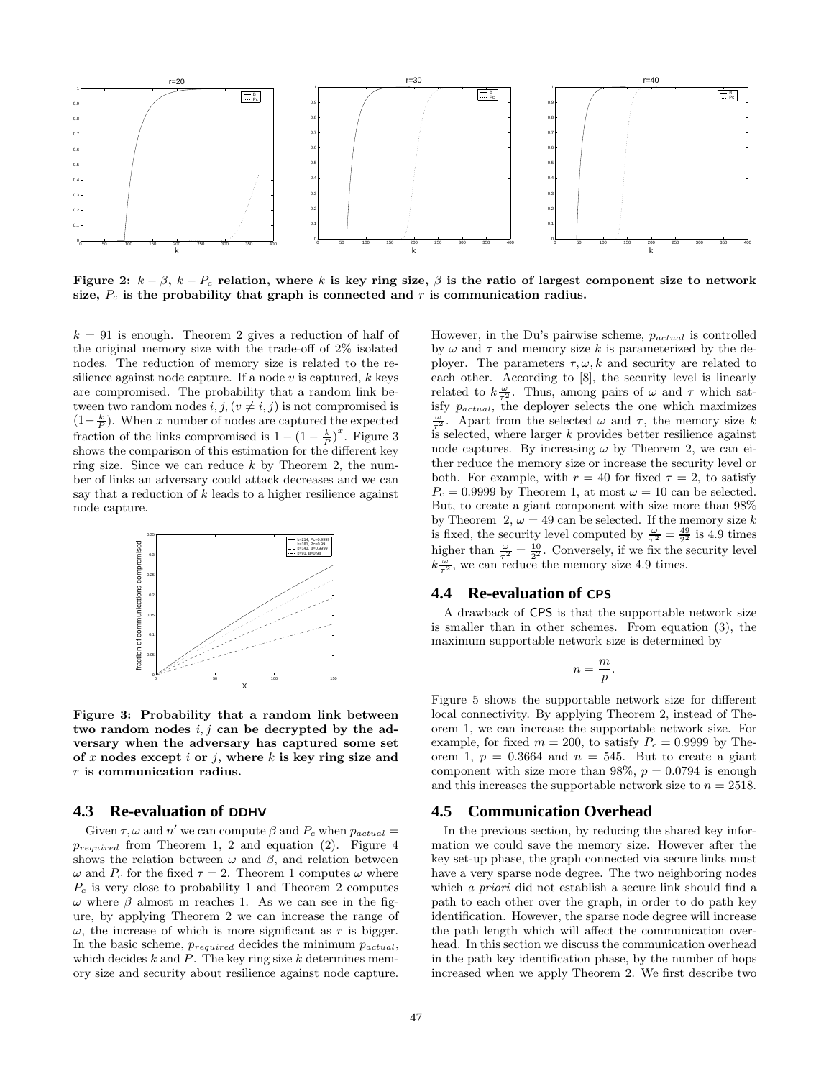

Figure 2:  $k - \beta$ ,  $k - P_c$  relation, where k is key ring size,  $\beta$  is the ratio of largest component size to network size,  $P_c$  is the probability that graph is connected and r is communication radius.

 $k = 91$  is enough. Theorem 2 gives a reduction of half of the original memory size with the trade-off of 2% isolated nodes. The reduction of memory size is related to the resilience against node capture. If a node  $v$  is captured,  $k$  keys are compromised. The probability that a random link between two random nodes  $i, j, (v \neq i, j)$  is not compromised is  $(1-\frac{k}{P})$ . When x number of nodes are captured the expected fraction of the links compromised is  $1 - \left(1 - \frac{k}{P}\right)^x$ . Figure 3 shows the comparison of this estimation for the different key ring size. Since we can reduce  $k$  by Theorem 2, the number of links an adversary could attack decreases and we can say that a reduction of  $k$  leads to a higher resilience against node capture.



Figure 3: Probability that a random link between two random nodes  $i, j$  can be decrypted by the adversary when the adversary has captured some set of x nodes except i or j, where  $k$  is key ring size and r is communication radius.

#### **4.3 Re-evaluation of** DDHV

Given  $\tau$ ,  $\omega$  and  $n'$  we can compute  $\beta$  and  $P_c$  when  $p_{actual}$  $p_{required}$  from Theorem 1, 2 and equation (2). Figure 4 shows the relation between  $\omega$  and  $\beta$ , and relation between  $\omega$  and  $P_c$  for the fixed  $\tau = 2$ . Theorem 1 computes  $\omega$  where  $P_c$  is very close to probability 1 and Theorem 2 computes  $ω$  where  $β$  almost m reaches 1. As we can see in the figure, by applying Theorem 2 we can increase the range of  $\omega$ , the increase of which is more significant as r is bigger. In the basic scheme,  $p_{required}$  decides the minimum  $p_{actual}$ , which decides  $k$  and  $\overline{P}$ . The key ring size  $k$  determines memory size and security about resilience against node capture. However, in the Du's pairwise scheme,  $p_{actual}$  is controlled by  $\omega$  and  $\tau$  and memory size k is parameterized by the deployer. The parameters  $\tau, \omega, k$  and security are related to each other. According to [8], the security level is linearly related to  $k\frac{\omega}{\tau^2}$ . Thus, among pairs of  $\omega$  and  $\tau$  which satisfy  $p_{actual}$ , the deployer selects the one which maximizes  $\frac{\omega}{\tau^2}$ . Apart from the selected  $\omega$  and  $\tau$ , the memory size k is selected, where larger  $k$  provides better resilience against node captures. By increasing  $\omega$  by Theorem 2, we can either reduce the memory size or increase the security level or both. For example, with  $r = 40$  for fixed  $\tau = 2$ , to satisfy  $P_c = 0.9999$  by Theorem 1, at most  $\omega = 10$  can be selected. But, to create a giant component with size more than 98% by Theorem 2,  $\omega = 49$  can be selected. If the memory size k is fixed, the security level computed by  $\frac{\omega}{\tau^2} = \frac{49}{2^2}$  is 4.9 times higher than  $\frac{\omega}{\tau^2} = \frac{10}{2^2}$ . Conversely, if we fix the security level  $k\frac{\omega}{\tau^2}$ , we can reduce the memory size 4.9 times.

#### **4.4 Re-evaluation of** CPS

A drawback of CPS is that the supportable network size is smaller than in other schemes. From equation (3), the maximum supportable network size is determined by

$$
n = \frac{m}{p}.
$$

Figure 5 shows the supportable network size for different local connectivity. By applying Theorem 2, instead of Theorem 1, we can increase the supportable network size. For example, for fixed  $m = 200$ , to satisfy  $P_c = 0.9999$  by Theorem 1,  $p = 0.3664$  and  $n = 545$ . But to create a giant component with size more than 98%,  $p = 0.0794$  is enough and this increases the supportable network size to  $n = 2518$ .

#### **4.5 Communication Overhead**

In the previous section, by reducing the shared key information we could save the memory size. However after the key set-up phase, the graph connected via secure links must have a very sparse node degree. The two neighboring nodes which *a priori* did not establish a secure link should find a path to each other over the graph, in order to do path key identification. However, the sparse node degree will increase the path length which will affect the communication overhead. In this section we discuss the communication overhead in the path key identification phase, by the number of hops increased when we apply Theorem 2. We first describe two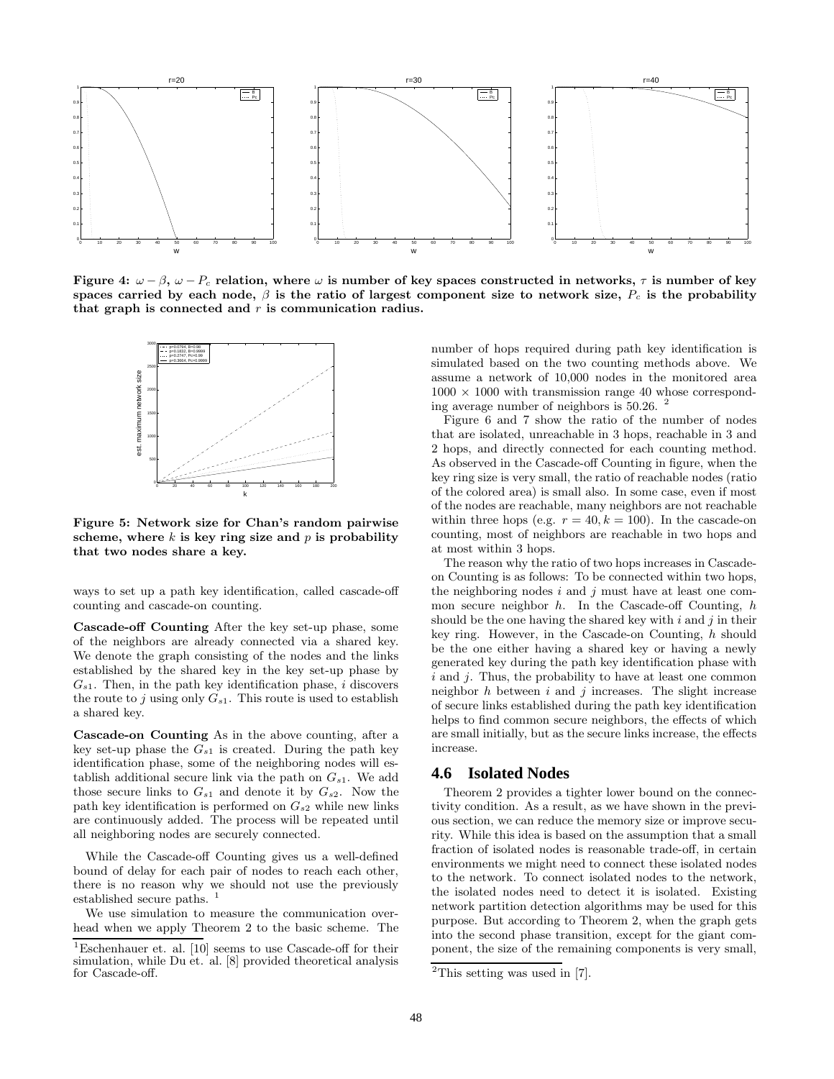

Figure 4:  $\omega - \beta$ ,  $\omega - P_c$  relation, where  $\omega$  is number of key spaces constructed in networks,  $\tau$  is number of key spaces carried by each node,  $\beta$  is the ratio of largest component size to network size,  $P_c$  is the probability that graph is connected and  $r$  is communication radius.



Figure 5: Network size for Chan's random pairwise scheme, where  $k$  is key ring size and  $p$  is probability that two nodes share a key.

ways to set up a path key identification, called cascade-off counting and cascade-on counting.

Cascade-off Counting After the key set-up phase, some of the neighbors are already connected via a shared key. We denote the graph consisting of the nodes and the links established by the shared key in the key set-up phase by  $G_{s1}$ . Then, in the path key identification phase, i discovers the route to j using only  $G_{s1}$ . This route is used to establish a shared key.

Cascade-on Counting As in the above counting, after a key set-up phase the  $G_{s1}$  is created. During the path key identification phase, some of the neighboring nodes will establish additional secure link via the path on  $G_{s1}$ . We add those secure links to  $G_{s1}$  and denote it by  $G_{s2}$ . Now the path key identification is performed on  $G_{s2}$  while new links are continuously added. The process will be repeated until all neighboring nodes are securely connected.

While the Cascade-off Counting gives us a well-defined bound of delay for each pair of nodes to reach each other, there is no reason why we should not use the previously established secure paths.<sup>1</sup>

We use simulation to measure the communication overhead when we apply Theorem 2 to the basic scheme. The number of hops required during path key identification is simulated based on the two counting methods above. We assume a network of 10,000 nodes in the monitored area  $1000 \times 1000$  with transmission range 40 whose corresponding average number of neighbors is 50.26. <sup>2</sup>

Figure 6 and 7 show the ratio of the number of nodes that are isolated, unreachable in 3 hops, reachable in 3 and 2 hops, and directly connected for each counting method. As observed in the Cascade-off Counting in figure, when the key ring size is very small, the ratio of reachable nodes (ratio of the colored area) is small also. In some case, even if most of the nodes are reachable, many neighbors are not reachable within three hops (e.g.  $r = 40, k = 100$ ). In the cascade-on counting, most of neighbors are reachable in two hops and at most within 3 hops.

The reason why the ratio of two hops increases in Cascadeon Counting is as follows: To be connected within two hops, the neighboring nodes  $i$  and  $j$  must have at least one common secure neighbor  $h$ . In the Cascade-off Counting,  $h$ should be the one having the shared key with  $i$  and  $j$  in their key ring. However, in the Cascade-on Counting, h should be the one either having a shared key or having a newly generated key during the path key identification phase with  $i$  and  $j$ . Thus, the probability to have at least one common neighbor  $h$  between  $i$  and  $j$  increases. The slight increase of secure links established during the path key identification helps to find common secure neighbors, the effects of which are small initially, but as the secure links increase, the effects increase.

#### **4.6 Isolated Nodes**

Theorem 2 provides a tighter lower bound on the connectivity condition. As a result, as we have shown in the previous section, we can reduce the memory size or improve security. While this idea is based on the assumption that a small fraction of isolated nodes is reasonable trade-off, in certain environments we might need to connect these isolated nodes to the network. To connect isolated nodes to the network, the isolated nodes need to detect it is isolated. Existing network partition detection algorithms may be used for this purpose. But according to Theorem 2, when the graph gets into the second phase transition, except for the giant component, the size of the remaining components is very small,

<sup>&</sup>lt;sup>1</sup>Eschenhauer et. al.  $[10]$  seems to use Cascade-off for their simulation, while Du et. al. [8] provided theoretical analysis for Cascade-off.

<sup>&</sup>lt;sup>2</sup>This setting was used in [7].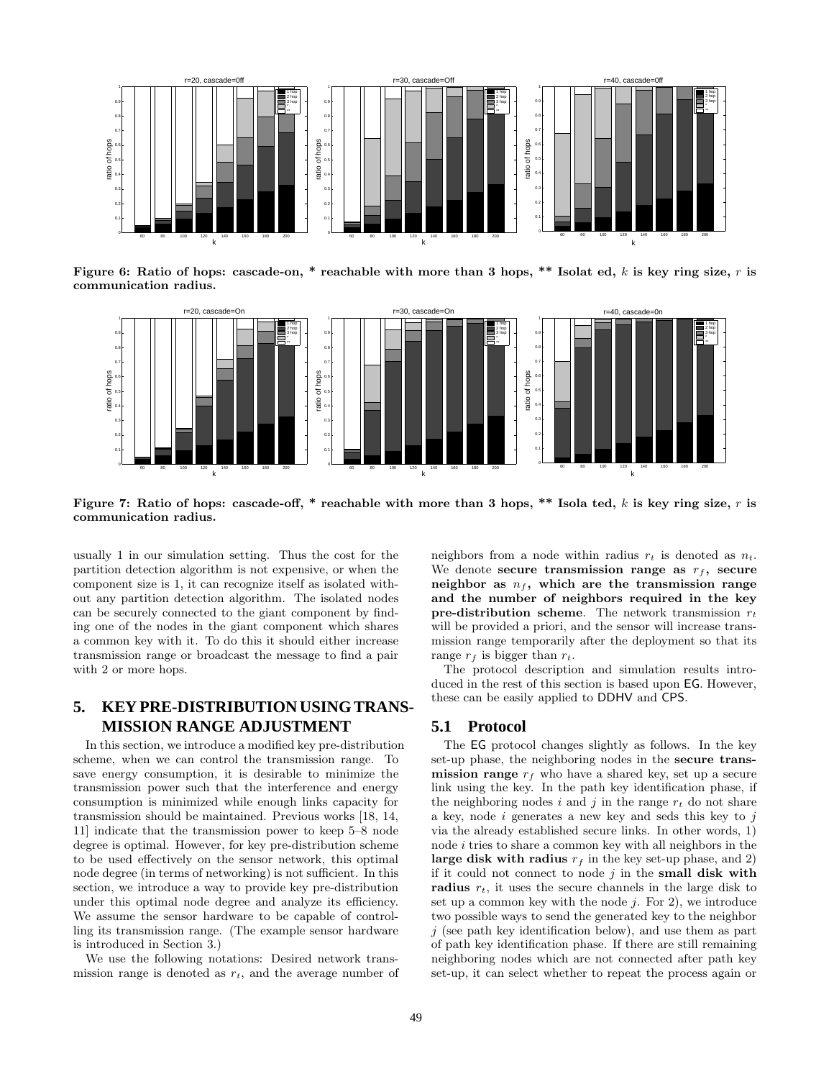

Figure 6: Ratio of hops: cascade-on, \* reachable with more than 3 hops, \*\* Isolat ed, k is key ring size, r is communication radius.



Figure 7: Ratio of hops: cascade-off, \* reachable with more than 3 hops, \*\* Isola ted, k is key ring size, r is communication radius.

usually 1 in our simulation setting. Thus the cost for the partition detection algorithm is not expensive, or when the component size is 1, it can recognize itself as isolated without any partition detection algorithm. The isolated nodes can be securely connected to the giant component by finding one of the nodes in the giant component which shares a common key with it. To do this it should either increase transmission range or broadcast the message to find a pair with 2 or more hops.

# **5. KEY PRE-DISTRIBUTION USINGTRANS-MISSION RANGE ADJUSTMENT**

In this section, we introduce a modified key pre-distribution scheme, when we can control the transmission range. To save energy consumption, it is desirable to minimize the transmission power such that the interference and energy consumption is minimized while enough links capacity for transmission should be maintained. Previous works [18, 14, 11] indicate that the transmission power to keep 5–8 node degree is optimal. However, for key pre-distribution scheme to be used effectively on the sensor network, this optimal node degree (in terms of networking) is not sufficient. In this section, we introduce a way to provide key pre-distribution under this optimal node degree and analyze its efficiency. We assume the sensor hardware to be capable of controlling its transmission range. (The example sensor hardware is introduced in Section 3.)

We use the following notations: Desired network transmission range is denoted as  $r_t$ , and the average number of neighbors from a node within radius  $r_t$  is denoted as  $n_t$ . We denote secure transmission range as  $r_f$ , secure neighbor as  $n_f$ , which are the transmission range and the number of neighbors required in the key pre-distribution scheme. The network transmission  $r_t$ will be provided a priori, and the sensor will increase transmission range temporarily after the deployment so that its range  $r_f$  is bigger than  $r_t$ .

The protocol description and simulation results introduced in the rest of this section is based upon EG. However, these can be easily applied to DDHV and CPS.

## **5.1 Protocol**

The EG protocol changes slightly as follows. In the key set-up phase, the neighboring nodes in the secure trans**mission range**  $r_f$  who have a shared key, set up a secure link using the key. In the path key identification phase, if the neighboring nodes i and j in the range  $r_t$  do not share a key, node  $i$  generates a new key and seds this key to  $j$ via the already established secure links. In other words, 1) node i tries to share a common key with all neighbors in the large disk with radius  $r_f$  in the key set-up phase, and 2) if it could not connect to node  $j$  in the small disk with radius  $r_t$ , it uses the secure channels in the large disk to set up a common key with the node  $j$ . For 2), we introduce two possible ways to send the generated key to the neighbor  $j$  (see path key identification below), and use them as part of path key identification phase. If there are still remaining neighboring nodes which are not connected after path key set-up, it can select whether to repeat the process again or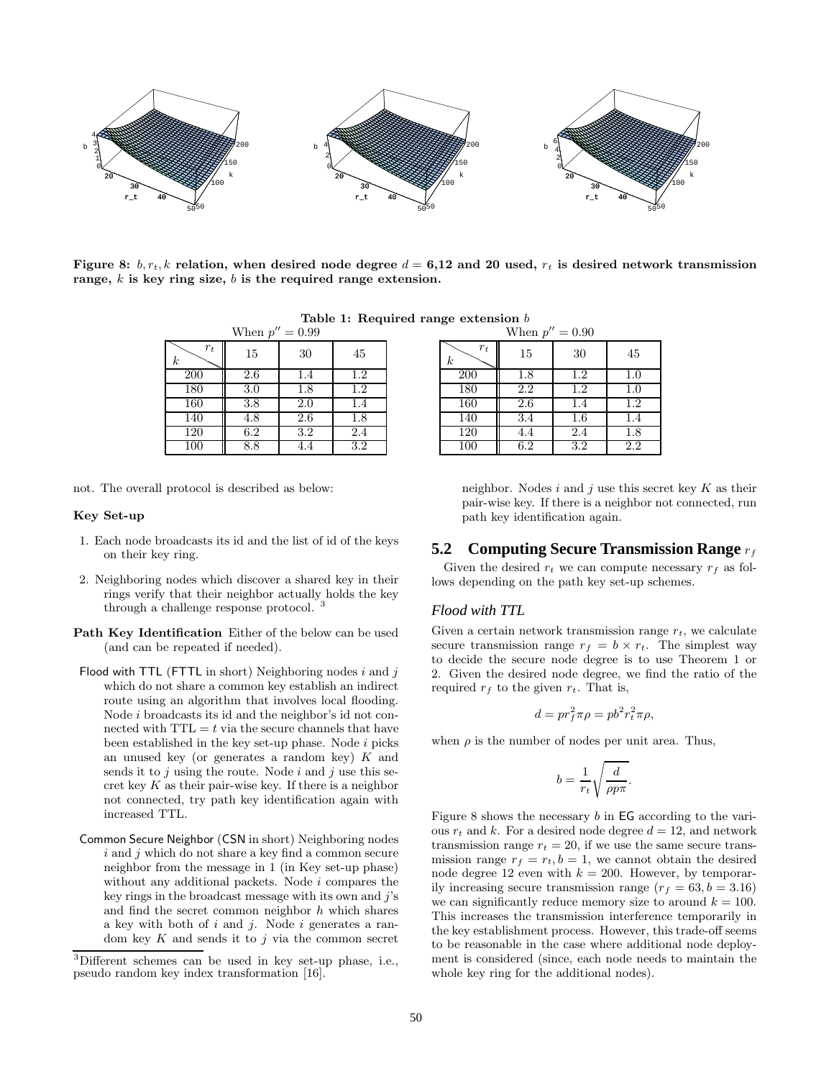

Figure 8:  $b, r_t, k$  relation, when desired node degree  $d = 6,12$  and 20 used,  $r_t$  is desired network transmission range, k is key ring size, b is the required range extension.

 $\diagup$  $k \searrow$  $r_t$ 15 30 45

not. The overall protocol is described as below:

#### Key Set-up

- 1. Each node broadcasts its id and the list of id of the keys on their key ring.
- 2. Neighboring nodes which discover a shared key in their rings verify that their neighbor actually holds the key through a challenge response protocol. <sup>3</sup>
- Path Key Identification Either of the below can be used (and can be repeated if needed).
- Flood with TTL (FTTL in short) Neighboring nodes  $i$  and  $j$ which do not share a common key establish an indirect route using an algorithm that involves local flooding. Node i broadcasts its id and the neighbor's id not connected with  $TTL = t$  via the secure channels that have been established in the key set-up phase. Node i picks an unused key (or generates a random key)  $K$  and sends it to  $j$  using the route. Node  $i$  and  $j$  use this secret key  $K$  as their pair-wise key. If there is a neighbor not connected, try path key identification again with increased TTL.
- Common Secure Neighbor (CSN in short) Neighboring nodes  $i$  and  $j$  which do not share a key find a common secure neighbor from the message in 1 (in Key set-up phase) without any additional packets. Node i compares the key rings in the broadcast message with its own and  $j$ 's and find the secret common neighbor  $h$  which shares a key with both of  $i$  and  $j$ . Node  $i$  generates a random key  $K$  and sends it to  $j$  via the common secret

|  | Table 1: Required range extension $b$ |
|--|---------------------------------------|
|--|---------------------------------------|

| $\mathbf{r}$<br>When $p'' = 0.99$ |         |     |         | ິ<br>When $p'' = 0.90$ |     |         |          |
|-----------------------------------|---------|-----|---------|------------------------|-----|---------|----------|
| $r_t$                             | 15      | 30  | 45      | $r_t$<br>$\kappa$      | 15  | 30      | 45       |
| 200                               | 2.6     | l.4 | l.2     | <b>200</b>             | 1.8 | l.2     | $1.0\,$  |
| 180                               | 3.0     | 1.8 | $1.2\,$ | 180                    | 2.2 | l.2     | $_{1.0}$ |
| 160                               | 3.8     | 2.0 | 1.4     | 160                    | 2.6 | I.4     | $1.2\,$  |
| 140                               | 4.8     | 2.6 | 1.8     | 140                    | 3.4 | $1.6\,$ | 1.4      |
| 120                               | 6.2     | 3.2 | 2.4     | 120                    |     | 2.4     | 1.8      |
| 100                               | $8.8\,$ | 4.4 | 3.2     | 100                    | 6.2 | 3.2     | 2.2      |

neighbor. Nodes  $i$  and  $j$  use this secret key  $K$  as their pair-wise key. If there is a neighbor not connected, run path key identification again.

#### **5.2 Computing Secure Transmission Range**  $r_f$

Given the desired  $r_t$  we can compute necessary  $r_f$  as follows depending on the path key set-up schemes.

#### *Flood with TTL*

Given a certain network transmission range  $r_t$ , we calculate secure transmission range  $r_f = b \times r_t$ . The simplest way to decide the secure node degree is to use Theorem 1 or 2. Given the desired node degree, we find the ratio of the required  $r_f$  to the given  $r_t$ . That is,

$$
d = pr_f^2 \pi \rho = pb^2 r_t^2 \pi \rho,
$$

when  $\rho$  is the number of nodes per unit area. Thus,

$$
b = \frac{1}{r_t} \sqrt{\frac{d}{\rho p \pi}}.
$$

Figure 8 shows the necessary b in EG according to the various  $r_t$  and k. For a desired node degree  $d = 12$ , and network transmission range  $r_t = 20$ , if we use the same secure transmission range  $r_f = r_t, b = 1$ , we cannot obtain the desired node degree 12 even with  $k = 200$ . However, by temporarily increasing secure transmission range ( $r_f = 63, b = 3.16$ ) we can significantly reduce memory size to around  $k = 100$ . This increases the transmission interference temporarily in the key establishment process. However, this trade-off seems to be reasonable in the case where additional node deployment is considered (since, each node needs to maintain the whole key ring for the additional nodes).

<sup>3</sup>Different schemes can be used in key set-up phase, i.e., pseudo random key index transformation [16].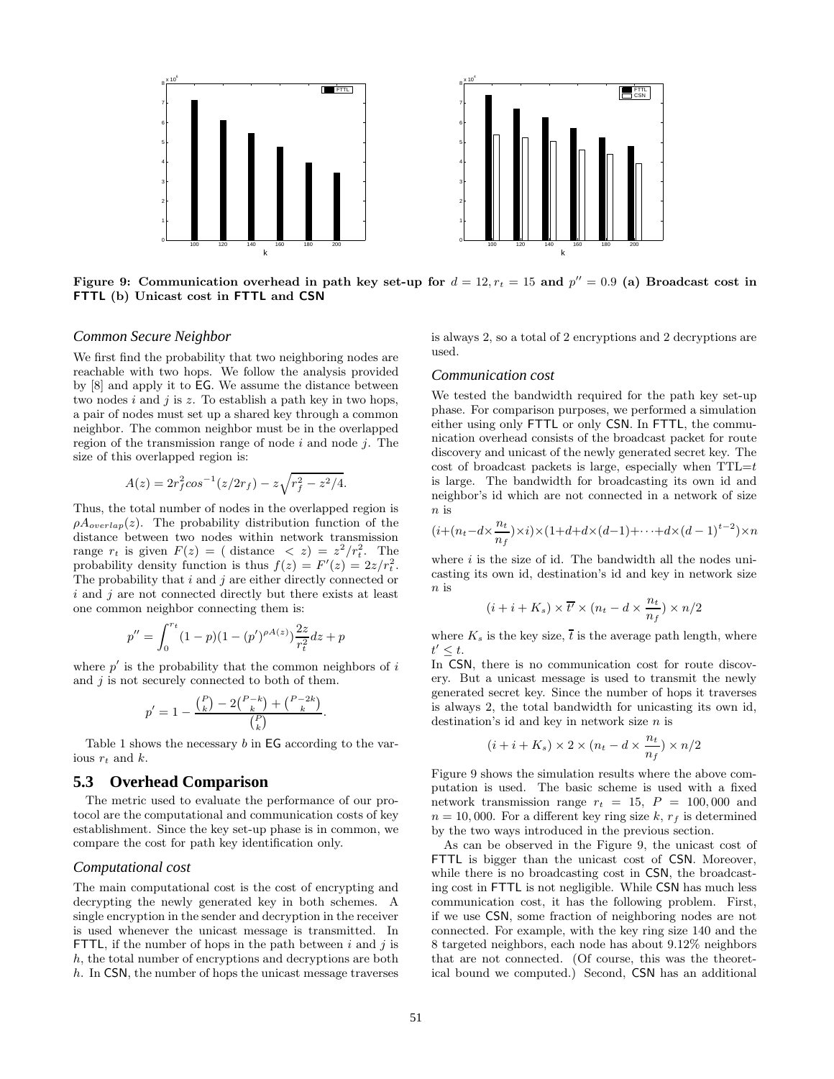

Figure 9: Communication overhead in path key set-up for  $d = 12, r_t = 15$  and  $p'' = 0.9$  (a) Broadcast cost in FTTL (b) Unicast cost in FTTL and CSN

#### *Common Secure Neighbor*

We first find the probability that two neighboring nodes are reachable with two hops. We follow the analysis provided by [8] and apply it to EG. We assume the distance between two nodes  $i$  and  $j$  is  $z$ . To establish a path key in two hops, a pair of nodes must set up a shared key through a common neighbor. The common neighbor must be in the overlapped region of the transmission range of node  $i$  and node  $j$ . The size of this overlapped region is:

$$
A(z) = 2r_f^2 \cos^{-1}(z/2r_f) - z\sqrt{r_f^2 - z^2/4}.
$$

Thus, the total number of nodes in the overlapped region is  $\rho A_{overlap}(z)$ . The probability distribution function of the distance between two nodes within network transmission range  $r_t$  is given  $F(z) = (\text{ distance } < z) = z^2/r_t^2$ . The probability density function is thus  $f(z) = F'(z) = 2z/r_t^2$ . The probability that  $i$  and  $j$  are either directly connected or  $i$  and  $j$  are not connected directly but there exists at least one common neighbor connecting them is:

$$
p'' = \int_0^{r_t} (1-p)(1-(p')^{\rho A(z)}) \frac{2z}{r_t^2} dz + p
$$

where  $p'$  is the probability that the common neighbors of  $i$ and  $j$  is not securely connected to both of them.

$$
p' = 1 - \frac{\binom{P}{k} - 2\binom{P-k}{k} + \binom{P-2k}{k}}{\binom{P}{k}}.
$$

Table 1 shows the necessary b in **EG** according to the various  $r_t$  and  $k$ .

#### **5.3 Overhead Comparison**

The metric used to evaluate the performance of our protocol are the computational and communication costs of key establishment. Since the key set-up phase is in common, we compare the cost for path key identification only.

#### *Computational cost*

The main computational cost is the cost of encrypting and decrypting the newly generated key in both schemes. A single encryption in the sender and decryption in the receiver is used whenever the unicast message is transmitted. In FTTL, if the number of hops in the path between  $i$  and  $j$  is h, the total number of encryptions and decryptions are both h. In CSN, the number of hops the unicast message traverses

is always 2, so a total of 2 encryptions and 2 decryptions are used.

#### *Communication cost*

We tested the bandwidth required for the path key set-up phase. For comparison purposes, we performed a simulation either using only FTTL or only CSN. In FTTL, the communication overhead consists of the broadcast packet for route discovery and unicast of the newly generated secret key. The cost of broadcast packets is large, especially when  $TTL=t$ is large. The bandwidth for broadcasting its own id and neighbor's id which are not connected in a network of size  $n$  is

$$
(i+(n_t-d\times\frac{n_t}{n_f})\times i)\times(1+d+d\times(d-1)+\cdots+d\times(d-1)^{t-2})\times n
$$

where  $i$  is the size of id. The bandwidth all the nodes unicasting its own id, destination's id and key in network size n is

$$
(i + i + K_s) \times \overline{t'} \times (n_t - d \times \frac{n_t}{n_f}) \times n/2
$$

where  $K_s$  is the key size,  $\overline{t}$  is the average path length, where  $t' \leq t$ .

In CSN, there is no communication cost for route discovery. But a unicast message is used to transmit the newly generated secret key. Since the number of hops it traverses is always 2, the total bandwidth for unicasting its own id, destination's id and key in network size  $n$  is

$$
(i + i + K_s) \times 2 \times (n_t - d \times \frac{n_t}{n_f}) \times n/2
$$

Figure 9 shows the simulation results where the above computation is used. The basic scheme is used with a fixed network transmission range  $r_t = 15$ ,  $P = 100,000$  and  $n = 10,000$ . For a different key ring size k,  $r_f$  is determined by the two ways introduced in the previous section.

As can be observed in the Figure 9, the unicast cost of FTTL is bigger than the unicast cost of CSN. Moreover, while there is no broadcasting cost in CSN, the broadcasting cost in FTTL is not negligible. While CSN has much less communication cost, it has the following problem. First, if we use CSN, some fraction of neighboring nodes are not connected. For example, with the key ring size 140 and the 8 targeted neighbors, each node has about 9.12% neighbors that are not connected. (Of course, this was the theoretical bound we computed.) Second, CSN has an additional